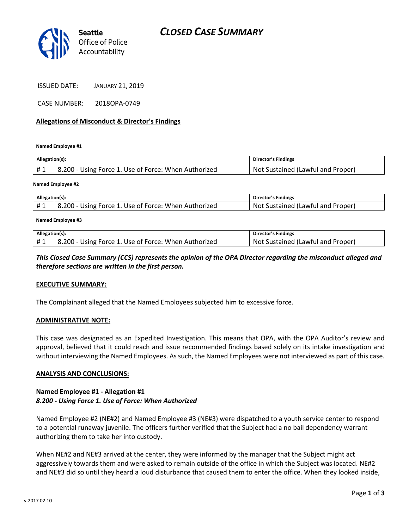## *CLOSED CASE SUMMARY*



ISSUED DATE: JANUARY 21, 2019

CASE NUMBER: 2018OPA-0749

#### **Allegations of Misconduct & Director's Findings**

**Named Employee #1**

| Allegation(s): |                                                      | Director's Findings               |
|----------------|------------------------------------------------------|-----------------------------------|
| #1             | 8.200 - Using Force 1. Use of Force: When Authorized | Not Sustained (Lawful and Proper) |
|                |                                                      |                                   |

**Named Employee #2**

| Allegation(s): |                                                                  | <b>Director's Findings</b>                  |
|----------------|------------------------------------------------------------------|---------------------------------------------|
|                | 1. Use of Force: When Authorized<br>$0.200 - Using$<br>: Force 1 | (Lawful and Proper)<br>Sustained ('<br>.Not |

#### **Named Employee #3**

| Allegation(s): |                                                      | <b>Director's Findings</b>           |
|----------------|------------------------------------------------------|--------------------------------------|
| #1             | 8.200 - Using Force 1. Use of Force: When Authorized | Sustained (Lawful and Proper)<br>Not |

### *This Closed Case Summary (CCS) represents the opinion of the OPA Director regarding the misconduct alleged and therefore sections are written in the first person.*

#### **EXECUTIVE SUMMARY:**

The Complainant alleged that the Named Employees subjected him to excessive force.

#### **ADMINISTRATIVE NOTE:**

This case was designated as an Expedited Investigation. This means that OPA, with the OPA Auditor's review and approval, believed that it could reach and issue recommended findings based solely on its intake investigation and without interviewing the Named Employees. As such, the Named Employees were not interviewed as part of this case.

#### **ANALYSIS AND CONCLUSIONS:**

### **Named Employee #1 - Allegation #1** *8.200 - Using Force 1. Use of Force: When Authorized*

Named Employee #2 (NE#2) and Named Employee #3 (NE#3) were dispatched to a youth service center to respond to a potential runaway juvenile. The officers further verified that the Subject had a no bail dependency warrant authorizing them to take her into custody.

When NE#2 and NE#3 arrived at the center, they were informed by the manager that the Subject might act aggressively towards them and were asked to remain outside of the office in which the Subject was located. NE#2 and NE#3 did so until they heard a loud disturbance that caused them to enter the office. When they looked inside,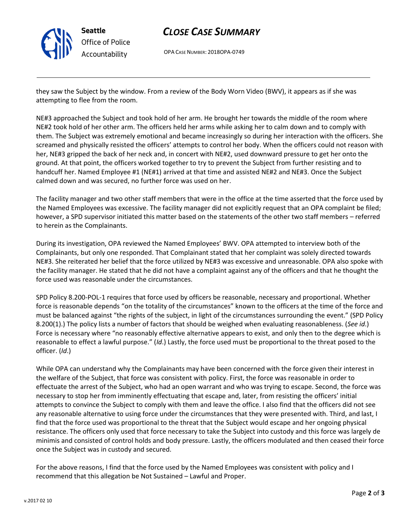

# *CLOSE CASE SUMMARY*

OPA CASE NUMBER: 2018OPA-0749

they saw the Subject by the window. From a review of the Body Worn Video (BWV), it appears as if she was attempting to flee from the room.

NE#3 approached the Subject and took hold of her arm. He brought her towards the middle of the room where NE#2 took hold of her other arm. The officers held her arms while asking her to calm down and to comply with them. The Subject was extremely emotional and became increasingly so during her interaction with the officers. She screamed and physically resisted the officers' attempts to control her body. When the officers could not reason with her, NE#3 gripped the back of her neck and, in concert with NE#2, used downward pressure to get her onto the ground. At that point, the officers worked together to try to prevent the Subject from further resisting and to handcuff her. Named Employee #1 (NE#1) arrived at that time and assisted NE#2 and NE#3. Once the Subject calmed down and was secured, no further force was used on her.

The facility manager and two other staff members that were in the office at the time asserted that the force used by the Named Employees was excessive. The facility manager did not explicitly request that an OPA complaint be filed; however, a SPD supervisor initiated this matter based on the statements of the other two staff members – referred to herein as the Complainants.

During its investigation, OPA reviewed the Named Employees' BWV. OPA attempted to interview both of the Complainants, but only one responded. That Complainant stated that her complaint was solely directed towards NE#3. She reiterated her belief that the force utilized by NE#3 was excessive and unreasonable. OPA also spoke with the facility manager. He stated that he did not have a complaint against any of the officers and that he thought the force used was reasonable under the circumstances.

SPD Policy 8.200-POL-1 requires that force used by officers be reasonable, necessary and proportional. Whether force is reasonable depends "on the totality of the circumstances" known to the officers at the time of the force and must be balanced against "the rights of the subject, in light of the circumstances surrounding the event." (SPD Policy 8.200(1).) The policy lists a number of factors that should be weighed when evaluating reasonableness. (*See id*.) Force is necessary where "no reasonably effective alternative appears to exist, and only then to the degree which is reasonable to effect a lawful purpose." (*Id*.) Lastly, the force used must be proportional to the threat posed to the officer. (*Id*.)

While OPA can understand why the Complainants may have been concerned with the force given their interest in the welfare of the Subject, that force was consistent with policy. First, the force was reasonable in order to effectuate the arrest of the Subject, who had an open warrant and who was trying to escape. Second, the force was necessary to stop her from imminently effectuating that escape and, later, from resisting the officers' initial attempts to convince the Subject to comply with them and leave the office. I also find that the officers did not see any reasonable alternative to using force under the circumstances that they were presented with. Third, and last, I find that the force used was proportional to the threat that the Subject would escape and her ongoing physical resistance. The officers only used that force necessary to take the Subject into custody and this force was largely de minimis and consisted of control holds and body pressure. Lastly, the officers modulated and then ceased their force once the Subject was in custody and secured.

For the above reasons, I find that the force used by the Named Employees was consistent with policy and I recommend that this allegation be Not Sustained – Lawful and Proper.